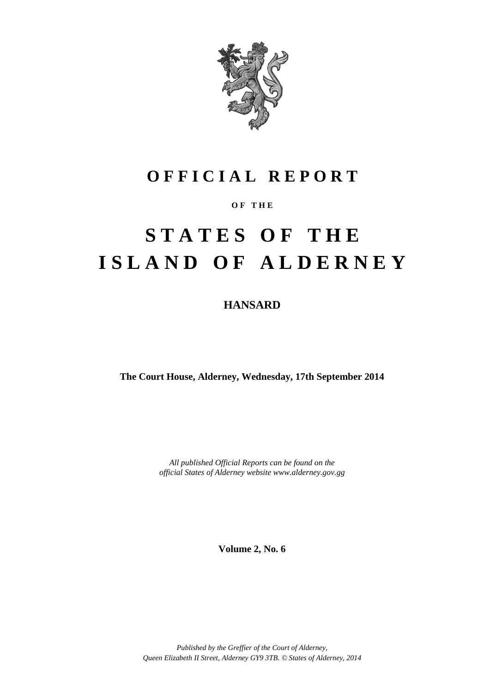

### **O F F I C I A L R E P O R T**

### **O F T H E**

# **S T A T E S O F T H E I S L A N D O F A L D E R N E Y**

**HANSARD**

**The Court House, Alderney, Wednesday, 17th September 2014**

*All published Official Reports can be found on the official States of Alderney website www.alderney.gov.gg*

**Volume 2, No. 6**

*Published by the Greffier of the Court of Alderney, Queen Elizabeth II Street, Alderney GY9 3TB. © States of Alderney, 2014*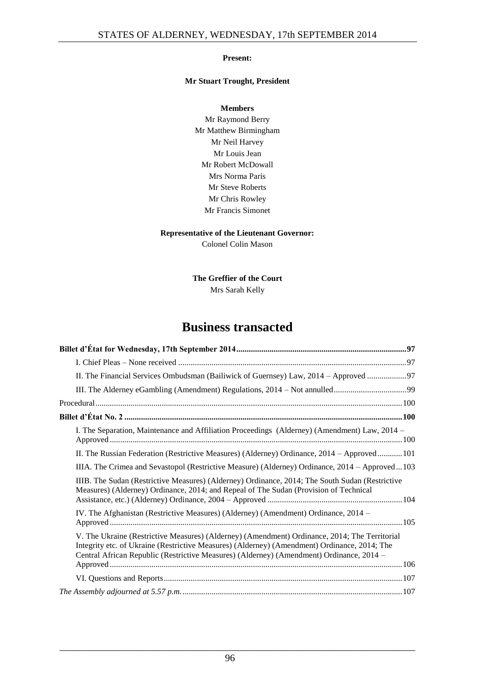#### **Present:**

#### **Mr Stuart Trought, President**

**Members** Mr Raymond Berry Mr Matthew Birmingham Mr Neil Harvey Mr Louis Jean Mr Robert McDowall Mrs Norma Paris Mr Steve Roberts Mr Chris Rowley Mr Francis Simonet

#### **Representative of the Lieutenant Governor:**

Colonel Colin Mason

#### **The Greffier of the Court** Mrs Sarah Kelly

### **Business transacted**

| II. The Financial Services Ombudsman (Bailiwick of Guernsey) Law, 2014 – Approved                                                                                                                                                                                                         |
|-------------------------------------------------------------------------------------------------------------------------------------------------------------------------------------------------------------------------------------------------------------------------------------------|
|                                                                                                                                                                                                                                                                                           |
|                                                                                                                                                                                                                                                                                           |
|                                                                                                                                                                                                                                                                                           |
| I. The Separation, Maintenance and Affiliation Proceedings (Alderney) (Amendment) Law, 2014 –                                                                                                                                                                                             |
| II. The Russian Federation (Restrictive Measures) (Alderney) Ordinance, 2014 - Approved 101                                                                                                                                                                                               |
| IIIA. The Crimea and Sevastopol (Restrictive Measure) (Alderney) Ordinance, 2014 - Approved  103                                                                                                                                                                                          |
| IIIB. The Sudan (Restrictive Measures) (Alderney) Ordinance, 2014; The South Sudan (Restrictive<br>Measures) (Alderney) Ordinance, 2014; and Repeal of The Sudan (Provision of Technical                                                                                                  |
| IV. The Afghanistan (Restrictive Measures) (Alderney) (Amendment) Ordinance, 2014 –                                                                                                                                                                                                       |
| V. The Ukraine (Restrictive Measures) (Alderney) (Amendment) Ordinance, 2014; The Territorial<br>Integrity etc. of Ukraine (Restrictive Measures) (Alderney) (Amendment) Ordinance, 2014; The<br>Central African Republic (Restrictive Measures) (Alderney) (Amendment) Ordinance, 2014 - |
|                                                                                                                                                                                                                                                                                           |
|                                                                                                                                                                                                                                                                                           |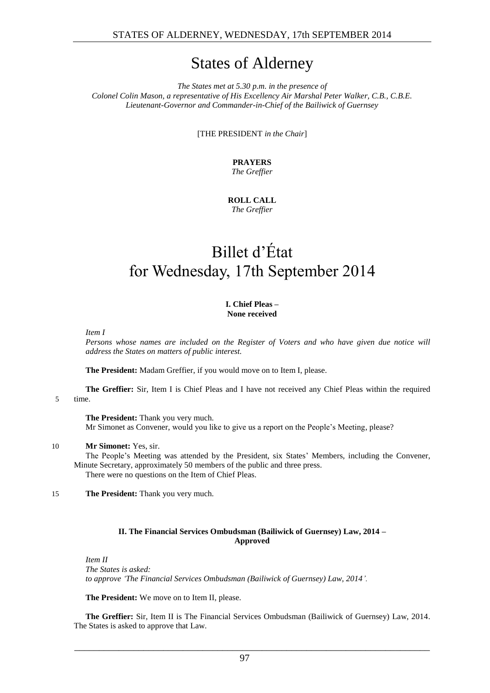### States of Alderney

*The States met at 5.30 p.m. in the presence of Colonel Colin Mason, a representative of His Excellency Air Marshal Peter Walker, C.B., C.B.E. Lieutenant-Governor and Commander-in-Chief of the Bailiwick of Guernsey*

[THE PRESIDENT *in the Chair*]

**PRAYERS** *The Greffier*

**ROLL CALL** *The Greffier*

## <span id="page-2-0"></span>Billet d'État for Wednesday, 17th September 2014

#### **I. Chief Pleas – None received**

<span id="page-2-1"></span>*Item I*

*Persons whose names are included on the Register of Voters and who have given due notice will address the States on matters of public interest.*

**The President:** Madam Greffier, if you would move on to Item I, please.

**The Greffier:** Sir, Item I is Chief Pleas and I have not received any Chief Pleas within the required 5 time.

**The President:** Thank you very much. Mr Simonet as Convener, would you like to give us a report on the People's Meeting, please?

#### 10 **Mr Simonet:** Yes, sir.

The People's Meeting was attended by the President, six States' Members, including the Convener, Minute Secretary, approximately 50 members of the public and three press. There were no questions on the Item of Chief Pleas.

15 **The President:** Thank you very much.

#### **II. The Financial Services Ombudsman (Bailiwick of Guernsey) Law, 2014 – Approved**

<span id="page-2-2"></span>*Item II The States is asked: to approve 'The Financial Services Ombudsman (Bailiwick of Guernsey) Law, 2014'.*

**The President:** We move on to Item II, please.

**The Greffier:** Sir, Item II is The Financial Services Ombudsman (Bailiwick of Guernsey) Law, 2014. The States is asked to approve that Law.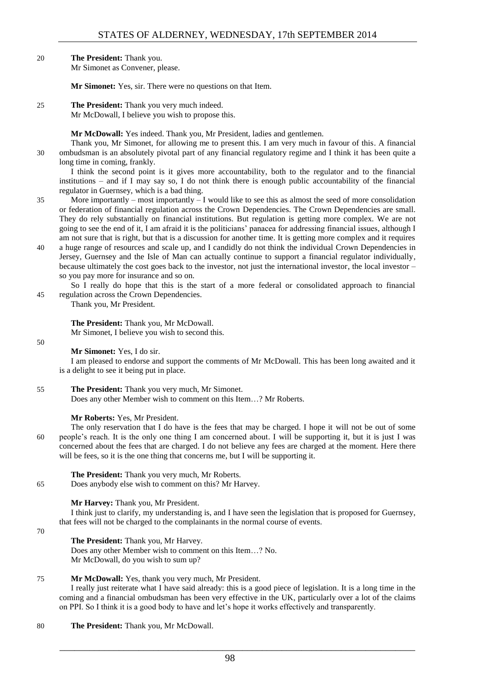20 **The President:** Thank you.

Mr Simonet as Convener, please.

**Mr Simonet:** Yes, sir. There were no questions on that Item.

25 **The President:** Thank you very much indeed. Mr McDowall, I believe you wish to propose this.

**Mr McDowall:** Yes indeed. Thank you, Mr President, ladies and gentlemen.

Thank you, Mr Simonet, for allowing me to present this. I am very much in favour of this. A financial 30 ombudsman is an absolutely pivotal part of any financial regulatory regime and I think it has been quite a long time in coming, frankly.

I think the second point is it gives more accountability, both to the regulator and to the financial institutions – and if I may say so, I do not think there is enough public accountability of the financial regulator in Guernsey, which is a bad thing.

- 35 More importantly most importantly I would like to see this as almost the seed of more consolidation or federation of financial regulation across the Crown Dependencies. The Crown Dependencies are small. They do rely substantially on financial institutions. But regulation is getting more complex. We are not going to see the end of it, I am afraid it is the politicians' panacea for addressing financial issues, although I am not sure that is right, but that is a discussion for another time. It is getting more complex and it requires
- 40 a huge range of resources and scale up, and I candidly do not think the individual Crown Dependencies in Jersey, Guernsey and the Isle of Man can actually continue to support a financial regulator individually, because ultimately the cost goes back to the investor, not just the international investor, the local investor – so you pay more for insurance and so on.
- So I really do hope that this is the start of a more federal or consolidated approach to financial 45 regulation across the Crown Dependencies.

Thank you, Mr President.

#### **The President:** Thank you, Mr McDowall.

Mr Simonet, I believe you wish to second this.

50

**Mr Simonet:** Yes, I do sir.

I am pleased to endorse and support the comments of Mr McDowall. This has been long awaited and it is a delight to see it being put in place.

55 **The President:** Thank you very much, Mr Simonet. Does any other Member wish to comment on this Item…? Mr Roberts.

#### **Mr Roberts:** Yes, Mr President.

- The only reservation that I do have is the fees that may be charged. I hope it will not be out of some 60 people's reach. It is the only one thing I am concerned about. I will be supporting it, but it is just I was concerned about the fees that are charged. I do not believe any fees are charged at the moment. Here there will be fees, so it is the one thing that concerns me, but I will be supporting it.
	- **The President:** Thank you very much, Mr Roberts.

65 Does anybody else wish to comment on this? Mr Harvey.

#### **Mr Harvey:** Thank you, Mr President.

I think just to clarify, my understanding is, and I have seen the legislation that is proposed for Guernsey, that fees will not be charged to the complainants in the normal course of events.

70

#### **The President:** Thank you, Mr Harvey.

Does any other Member wish to comment on this Item…? No. Mr McDowall, do you wish to sum up?

#### 75 **Mr McDowall:** Yes, thank you very much, Mr President.

I really just reiterate what I have said already: this is a good piece of legislation. It is a long time in the coming and a financial ombudsman has been very effective in the UK, particularly over a lot of the claims on PPI. So I think it is a good body to have and let's hope it works effectively and transparently.

80 **The President:** Thank you, Mr McDowall.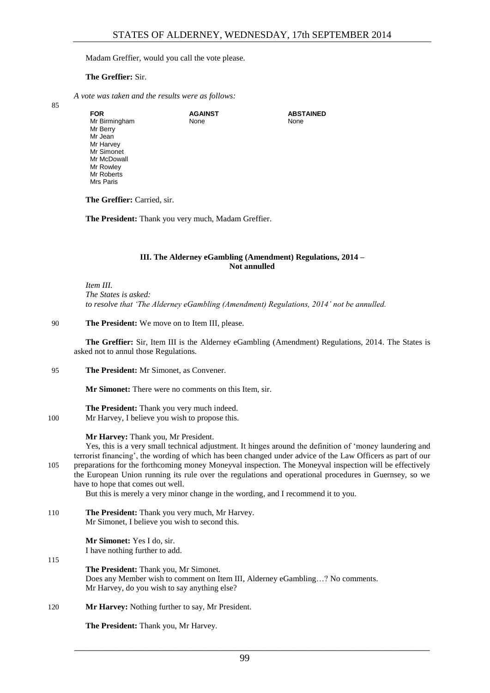#### Madam Greffier, would you call the vote please.

#### **The Greffier:** Sir.

*A vote was taken and the results were as follows:*

85

| <b>FOR</b>    | <b>AGAINST</b> | <b>ABSTAINED</b> |
|---------------|----------------|------------------|
| Mr Birmingham | None           | None             |
| Mr Berry      |                |                  |
| Mr Jean       |                |                  |
| Mr Harvey     |                |                  |
| Mr Simonet    |                |                  |
| Mr McDowall   |                |                  |
| Mr Rowley     |                |                  |
| Mr Roberts    |                |                  |
| Mrs Paris     |                |                  |
|               |                |                  |

**The Greffier:** Carried, sir.

**The President:** Thank you very much, Madam Greffier.

#### **III. The Alderney eGambling (Amendment) Regulations, 2014 – Not annulled**

<span id="page-4-0"></span>*Item III. The States is asked: to resolve that 'The Alderney eGambling (Amendment) Regulations, 2014' not be annulled.* 

90 **The President:** We move on to Item III, please.

**The Greffier:** Sir, Item III is the Alderney eGambling (Amendment) Regulations, 2014. The States is asked not to annul those Regulations.

95 **The President:** Mr Simonet, as Convener.

**Mr Simonet:** There were no comments on this Item, sir.

**The President:** Thank you very much indeed.

100 Mr Harvey, I believe you wish to propose this.

#### **Mr Harvey:** Thank you, Mr President.

Yes, this is a very small technical adjustment. It hinges around the definition of 'money laundering and terrorist financing', the wording of which has been changed under advice of the Law Officers as part of our 105 preparations for the forthcoming money Moneyval inspection. The Moneyval inspection will be effectively the European Union running its rule over the regulations and operational procedures in Guernsey, so we have to hope that comes out well.

But this is merely a very minor change in the wording, and I recommend it to you.

110 **The President:** Thank you very much, Mr Harvey. Mr Simonet, I believe you wish to second this.

> **Mr Simonet:** Yes I do, sir. I have nothing further to add.

115

**The President:** Thank you, Mr Simonet. Does any Member wish to comment on Item III, Alderney eGambling…? No comments. Mr Harvey, do you wish to say anything else?

120 **Mr Harvey:** Nothing further to say, Mr President.

**The President:** Thank you, Mr Harvey.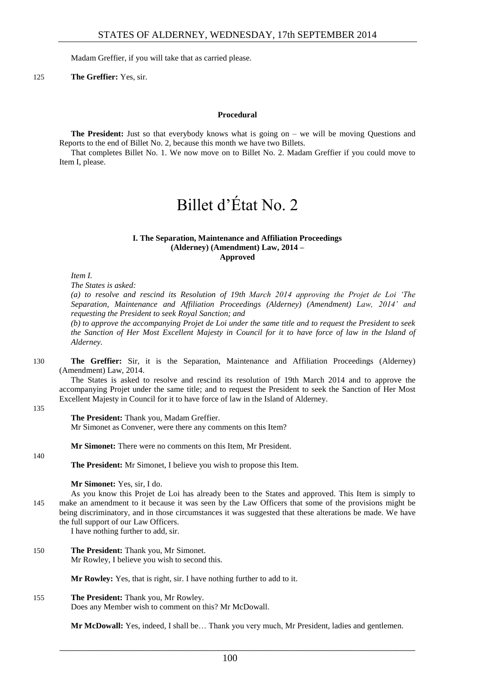Madam Greffier, if you will take that as carried please.

125 **The Greffier:** Yes, sir.

#### **Procedural**

<span id="page-5-0"></span>**The President:** Just so that everybody knows what is going on – we will be moving Questions and Reports to the end of Billet No. 2, because this month we have two Billets.

<span id="page-5-1"></span>That completes Billet No. 1. We now move on to Billet No. 2. Madam Greffier if you could move to Item I, please.

## Billet d'État No. 2

#### **I. The Separation, Maintenance and Affiliation Proceedings (Alderney) (Amendment) Law, 2014 – Approved**

<span id="page-5-2"></span>*Item I.*

*The States is asked:* 

*(a) to resolve and rescind its Resolution of 19th March 2014 approving the Projet de Loi 'The Separation, Maintenance and Affiliation Proceedings (Alderney) (Amendment) Law, 2014' and requesting the President to seek Royal Sanction; and* 

*(b) to approve the accompanying Projet de Loi under the same title and to request the President to seek the Sanction of Her Most Excellent Majesty in Council for it to have force of law in the Island of Alderney.* 

130 **The Greffier:** Sir, it is the Separation, Maintenance and Affiliation Proceedings (Alderney) (Amendment) Law, 2014.

The States is asked to resolve and rescind its resolution of 19th March 2014 and to approve the accompanying Projet under the same title; and to request the President to seek the Sanction of Her Most Excellent Majesty in Council for it to have force of law in the Island of Alderney.

135

#### **The President:** Thank you, Madam Greffier.

Mr Simonet as Convener, were there any comments on this Item?

**Mr Simonet:** There were no comments on this Item, Mr President.

140

**The President:** Mr Simonet, I believe you wish to propose this Item.

**Mr Simonet:** Yes, sir, I do.

As you know this Projet de Loi has already been to the States and approved. This Item is simply to 145 make an amendment to it because it was seen by the Law Officers that some of the provisions might be being discriminatory, and in those circumstances it was suggested that these alterations be made. We have the full support of our Law Officers.

I have nothing further to add, sir.

150 **The President:** Thank you, Mr Simonet. Mr Rowley, I believe you wish to second this.

**Mr Rowley:** Yes, that is right, sir. I have nothing further to add to it.

155 **The President:** Thank you, Mr Rowley. Does any Member wish to comment on this? Mr McDowall.

**Mr McDowall:** Yes, indeed, I shall be… Thank you very much, Mr President, ladies and gentlemen.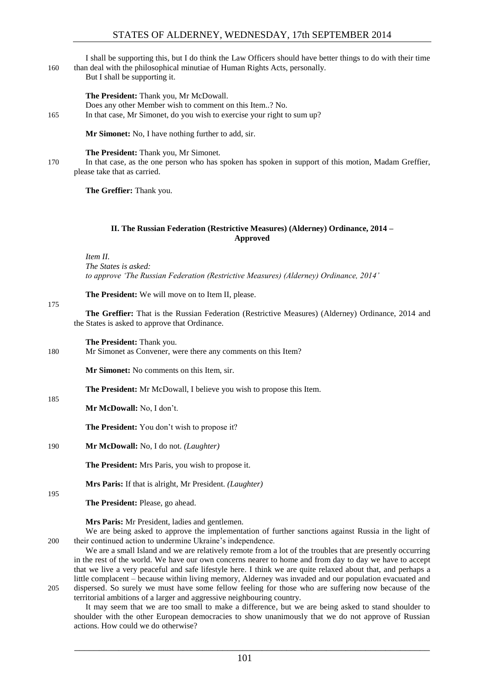I shall be supporting this, but I do think the Law Officers should have better things to do with their time 160 than deal with the philosophical minutiae of Human Rights Acts, personally.

But I shall be supporting it.

#### **The President:** Thank you, Mr McDowall.

Does any other Member wish to comment on this Item..? No. 165 In that case, Mr Simonet, do you wish to exercise your right to sum up?

**Mr Simonet:** No, I have nothing further to add, sir.

**The President:** Thank you, Mr Simonet.

170 In that case, as the one person who has spoken has spoken in support of this motion, Madam Greffier, please take that as carried.

**The Greffier:** Thank you.

#### **II. The Russian Federation (Restrictive Measures) (Alderney) Ordinance, 2014 – Approved**

<span id="page-6-0"></span>*Item II. The States is asked: to approve 'The Russian Federation (Restrictive Measures) (Alderney) Ordinance, 2014'* 

**The President:** We will move on to Item II, please.

175

185

**The Greffier:** That is the Russian Federation (Restrictive Measures) (Alderney) Ordinance, 2014 and the States is asked to approve that Ordinance.

**The President:** Thank you.

180 Mr Simonet as Convener, were there any comments on this Item?

**Mr Simonet:** No comments on this Item, sir.

**The President:** Mr McDowall, I believe you wish to propose this Item.

**Mr McDowall:** No, I don't.

**The President:** You don't wish to propose it?

190 **Mr McDowall:** No, I do not. *(Laughter)*

**The President:** Mrs Paris, you wish to propose it.

**Mrs Paris:** If that is alright, Mr President. *(Laughter)*

**The President:** Please, go ahead.

**Mrs Paris:** Mr President, ladies and gentlemen.

We are being asked to approve the implementation of further sanctions against Russia in the light of 200 their continued action to undermine Ukraine's independence.

We are a small Island and we are relatively remote from a lot of the troubles that are presently occurring in the rest of the world. We have our own concerns nearer to home and from day to day we have to accept that we live a very peaceful and safe lifestyle here. I think we are quite relaxed about that, and perhaps a little complacent – because within living memory, Alderney was invaded and our population evacuated and 205 dispersed. So surely we must have some fellow feeling for those who are suffering now because of the territorial ambitions of a larger and aggressive neighbouring country.

It may seem that we are too small to make a difference, but we are being asked to stand shoulder to shoulder with the other European democracies to show unanimously that we do not approve of Russian actions. How could we do otherwise?

\_\_\_\_\_\_\_\_\_\_\_\_\_\_\_\_\_\_\_\_\_\_\_\_\_\_\_\_\_\_\_\_\_\_\_\_\_\_\_\_\_\_\_\_\_\_\_\_\_\_\_\_\_\_\_\_\_\_\_\_\_\_\_\_\_\_\_\_\_\_\_\_

195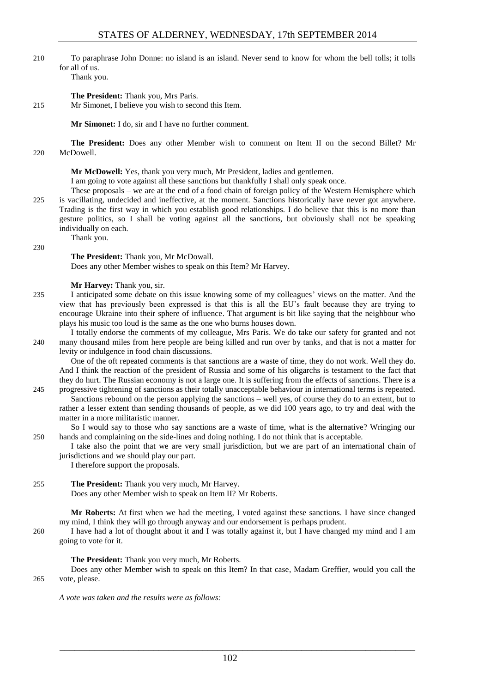- 210 To paraphrase John Donne: no island is an island. Never send to know for whom the bell tolls; it tolls for all of us.
	- Thank you.

**The President:** Thank you, Mrs Paris.

215 Mr Simonet, I believe you wish to second this Item.

**Mr Simonet:** I do, sir and I have no further comment.

**The President:** Does any other Member wish to comment on Item II on the second Billet? Mr 220 McDowell.

**Mr McDowell:** Yes, thank you very much, Mr President, ladies and gentlemen.

I am going to vote against all these sanctions but thankfully I shall only speak once.

These proposals – we are at the end of a food chain of foreign policy of the Western Hemisphere which 225 is vacillating, undecided and ineffective, at the moment. Sanctions historically have never got anywhere. Trading is the first way in which you establish good relationships. I do believe that this is no more than gesture politics, so I shall be voting against all the sanctions, but obviously shall not be speaking individually on each. Thank you.

230

#### **The President:** Thank you, Mr McDowall.

Does any other Member wishes to speak on this Item? Mr Harvey.

#### **Mr Harvey:** Thank you, sir.

- 235 I anticipated some debate on this issue knowing some of my colleagues' views on the matter. And the view that has previously been expressed is that this is all the EU's fault because they are trying to encourage Ukraine into their sphere of influence. That argument is bit like saying that the neighbour who plays his music too loud is the same as the one who burns houses down.
- I totally endorse the comments of my colleague, Mrs Paris. We do take our safety for granted and not 240 many thousand miles from here people are being killed and run over by tanks, and that is not a matter for levity or indulgence in food chain discussions.

One of the oft repeated comments is that sanctions are a waste of time, they do not work. Well they do. And I think the reaction of the president of Russia and some of his oligarchs is testament to the fact that they do hurt. The Russian economy is not a large one. It is suffering from the effects of sanctions. There is a

245 progressive tightening of sanctions as their totally unacceptable behaviour in international terms is repeated. Sanctions rebound on the person applying the sanctions – well yes, of course they do to an extent, but to rather a lesser extent than sending thousands of people, as we did 100 years ago, to try and deal with the matter in a more militaristic manner.

So I would say to those who say sanctions are a waste of time, what is the alternative? Wringing our 250 hands and complaining on the side-lines and doing nothing. I do not think that is acceptable.

I take also the point that we are very small jurisdiction, but we are part of an international chain of jurisdictions and we should play our part.

I therefore support the proposals.

#### 255 **The President:** Thank you very much, Mr Harvey. Does any other Member wish to speak on Item II? Mr Roberts.

**Mr Roberts:** At first when we had the meeting, I voted against these sanctions. I have since changed my mind, I think they will go through anyway and our endorsement is perhaps prudent.

260 I have had a lot of thought about it and I was totally against it, but I have changed my mind and I am going to vote for it.

#### **The President:** Thank you very much, Mr Roberts.

Does any other Member wish to speak on this Item? In that case, Madam Greffier, would you call the 265 vote, please.

*A vote was taken and the results were as follows:*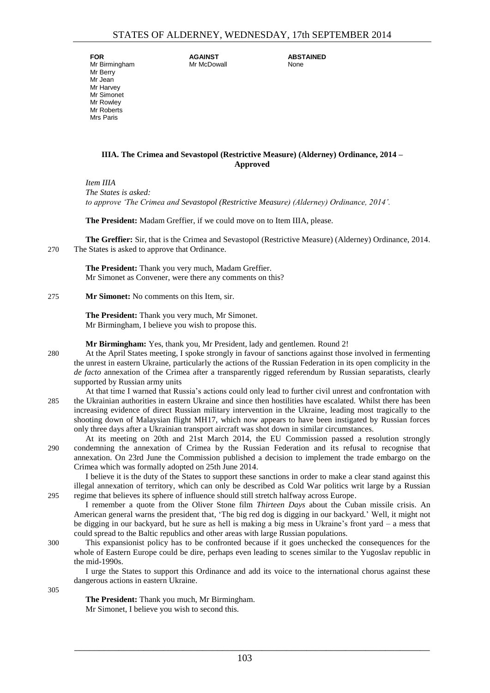**FOR** Mr Birmingham Mr Berry Mr Jean Mr Harvey Mr Simonet Mr Rowley Mr Roberts Mrs Paris

**AGAINST** Mr McDowall **ABSTAINED** None

#### <span id="page-8-0"></span>**IIIA. The Crimea and Sevastopol (Restrictive Measure) (Alderney) Ordinance, 2014 – Approved**

*Item IIIA The States is asked: to approve 'The Crimea and Sevastopol (Restrictive Measure) (Alderney) Ordinance, 2014'.*

**The President:** Madam Greffier, if we could move on to Item IIIA, please.

**The Greffier:** Sir, that is the Crimea and Sevastopol (Restrictive Measure) (Alderney) Ordinance, 2014. 270 The States is asked to approve that Ordinance.

**The President:** Thank you very much, Madam Greffier. Mr Simonet as Convener, were there any comments on this?

275 **Mr Simonet:** No comments on this Item, sir.

**The President:** Thank you very much, Mr Simonet. Mr Birmingham, I believe you wish to propose this.

**Mr Birmingham:** Yes, thank you, Mr President, lady and gentlemen. Round 2!

280 At the April States meeting, I spoke strongly in favour of sanctions against those involved in fermenting the unrest in eastern Ukraine, particularly the actions of the Russian Federation in its open complicity in the *de facto* annexation of the Crimea after a transparently rigged referendum by Russian separatists, clearly supported by Russian army units

- At that time I warned that Russia's actions could only lead to further civil unrest and confrontation with 285 the Ukrainian authorities in eastern Ukraine and since then hostilities have escalated. Whilst there has been increasing evidence of direct Russian military intervention in the Ukraine, leading most tragically to the shooting down of Malaysian flight MH17, which now appears to have been instigated by Russian forces only three days after a Ukrainian transport aircraft was shot down in similar circumstances.
- At its meeting on 20th and 21st March 2014, the EU Commission passed a resolution strongly 290 condemning the annexation of Crimea by the Russian Federation and its refusal to recognise that annexation. On 23rd June the Commission published a decision to implement the trade embargo on the Crimea which was formally adopted on 25th June 2014.

I believe it is the duty of the States to support these sanctions in order to make a clear stand against this illegal annexation of territory, which can only be described as Cold War politics writ large by a Russian 295 regime that believes its sphere of influence should still stretch halfway across Europe.

I remember a quote from the Oliver Stone film *Thirteen Days* about the Cuban missile crisis. An American general warns the president that, 'The big red dog is digging in our backyard.' Well, it might not be digging in our backyard, but he sure as hell is making a big mess in Ukraine's front yard – a mess that could spread to the Baltic republics and other areas with large Russian populations.

300 This expansionist policy has to be confronted because if it goes unchecked the consequences for the whole of Eastern Europe could be dire, perhaps even leading to scenes similar to the Yugoslav republic in the mid-1990s.

I urge the States to support this Ordinance and add its voice to the international chorus against these dangerous actions in eastern Ukraine.

305

**The President:** Thank you much, Mr Birmingham. Mr Simonet, I believe you wish to second this.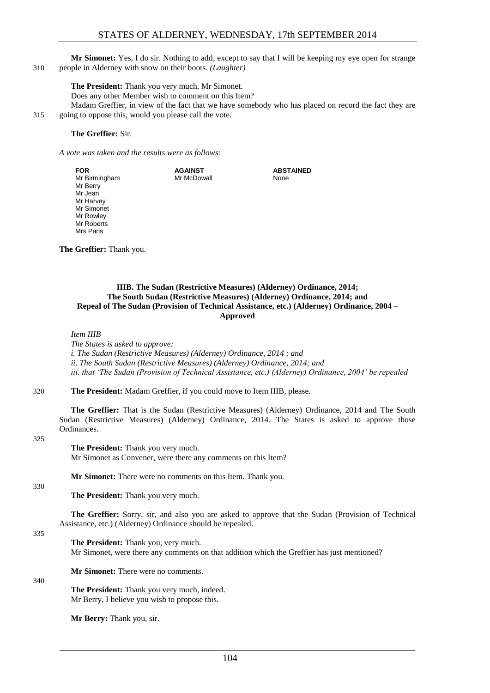**Mr Simonet:** Yes, I do sir. Nothing to add, except to say that I will be keeping my eye open for strange 310 people in Alderney with snow on their boots. *(Laughter)*

#### **The President:** Thank you very much, Mr Simonet.

Does any other Member wish to comment on this Item?

Madam Greffier, in view of the fact that we have somebody who has placed on record the fact they are 315 going to oppose this, would you please call the vote.

#### **The Greffier:** Sir.

*A vote was taken and the results were as follows:*

| <b>FOR</b>                      | <b>AGAINST</b> | <b>ABSTAINED</b> |
|---------------------------------|----------------|------------------|
| Mr Birmingham                   | Mr McDowall    | None             |
| Mr Berry                        |                |                  |
| Mr Jean                         |                |                  |
| Mr Harvey                       |                |                  |
| Mr Simonet                      |                |                  |
| Mr Rowley                       |                |                  |
| Mr Roberts                      |                |                  |
| Mrs Paris                       |                |                  |
|                                 |                |                  |
| <b>The Greffier:</b> Thank you. |                |                  |

<span id="page-9-0"></span>**IIIB. The Sudan (Restrictive Measures) (Alderney) Ordinance, 2014; The South Sudan (Restrictive Measures) (Alderney) Ordinance, 2014; and Repeal of The Sudan (Provision of Technical Assistance, etc.) (Alderney) Ordinance, 2004 – Approved**

#### *Item IIIB*

*The States is asked to approve: i. The Sudan (Restrictive Measures) (Alderney) Ordinance, 2014 ; and ii. The South Sudan (Restrictive Measures) (Alderney) Ordinance, 2014; and iii. that 'The Sudan (Provision of Technical Assistance, etc.) (Alderney) Ordinance, 2004' be repealed* 

#### 320 **The President:** Madam Greffier, if you could move to Item IIIB, please.

**The Greffier:** That is the Sudan (Restrictive Measures) (Alderney) Ordinance, 2014 and The South Sudan (Restrictive Measures) (Alderney) Ordinance, 2014. The States is asked to approve those Ordinances.

#### 325

**The President:** Thank you very much.

Mr Simonet as Convener, were there any comments on this Item?

**Mr Simonet:** There were no comments on this Item. Thank you.

**The President:** Thank you very much.

**The Greffier:** Sorry, sir, and also you are asked to approve that the Sudan (Provision of Technical Assistance, etc.) (Alderney) Ordinance should be repealed.

#### 335

330

**The President:** Thank you, very much.

Mr Simonet, were there any comments on that addition which the Greffier has just mentioned?

**Mr Simonet:** There were no comments.

#### 340

**The President:** Thank you very much, indeed. Mr Berry, I believe you wish to propose this.

**Mr Berry:** Thank you, sir.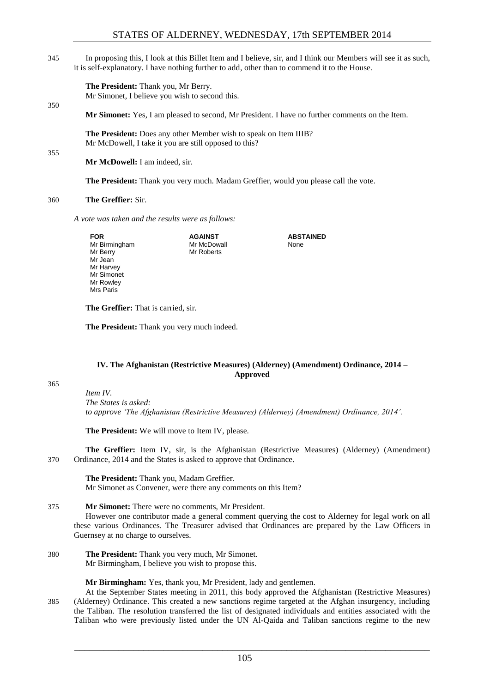345 In proposing this, I look at this Billet Item and I believe, sir, and I think our Members will see it as such, it is self-explanatory. I have nothing further to add, other than to commend it to the House.

**The President:** Thank you, Mr Berry.

Mr Simonet, I believe you wish to second this.

**Mr Simonet:** Yes, I am pleased to second, Mr President. I have no further comments on the Item.

**The President:** Does any other Member wish to speak on Item IIIB? Mr McDowell, I take it you are still opposed to this?

**Mr McDowell:** I am indeed, sir.

**The President:** Thank you very much. Madam Greffier, would you please call the vote.

#### 360 **The Greffier:** Sir.

*A vote was taken and the results were as follows:*

| FOR           | <b>AGAINST</b> | <b>ABSTAINED</b> |
|---------------|----------------|------------------|
| Mr Birmingham | Mr McDowall    | None             |
| Mr Berry      | Mr Roberts     |                  |
| Mr Jean       |                |                  |
| Mr Harvey     |                |                  |
| Mr Simonet    |                |                  |
| Mr Rowley     |                |                  |
| Mrs Paris     |                |                  |
|               |                |                  |
|               |                |                  |

**The Greffier:** That is carried, sir.

**The President:** Thank you very much indeed.

#### <span id="page-10-0"></span>**IV. The Afghanistan (Restrictive Measures) (Alderney) (Amendment) Ordinance, 2014 – Approved**

365

350

355

*Item IV. The States is asked: to approve 'The Afghanistan (Restrictive Measures) (Alderney) (Amendment) Ordinance, 2014'.*

**The President:** We will move to Item IV, please.

**The Greffier:** Item IV, sir, is the Afghanistan (Restrictive Measures) (Alderney) (Amendment) 370 Ordinance, 2014 and the States is asked to approve that Ordinance.

**The President:** Thank you, Madam Greffier. Mr Simonet as Convener, were there any comments on this Item?

#### 375 **Mr Simonet:** There were no comments, Mr President.

However one contributor made a general comment querying the cost to Alderney for legal work on all these various Ordinances. The Treasurer advised that Ordinances are prepared by the Law Officers in Guernsey at no charge to ourselves.

380 **The President:** Thank you very much, Mr Simonet. Mr Birmingham, I believe you wish to propose this.

**Mr Birmingham:** Yes, thank you, Mr President, lady and gentlemen.

At the September States meeting in 2011, this body approved the Afghanistan (Restrictive Measures) 385 (Alderney) Ordinance. This created a new sanctions regime targeted at the Afghan insurgency, including the Taliban. The resolution transferred the list of designated individuals and entities associated with the Taliban who were previously listed under the UN Al-Qaida and Taliban sanctions regime to the new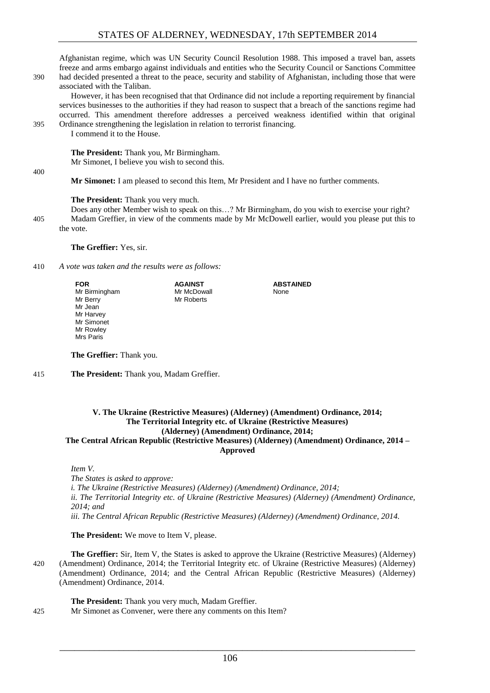Afghanistan regime, which was UN Security Council Resolution 1988. This imposed a travel ban, assets freeze and arms embargo against individuals and entities who the Security Council or Sanctions Committee 390 had decided presented a threat to the peace, security and stability of Afghanistan, including those that were associated with the Taliban.

However, it has been recognised that that Ordinance did not include a reporting requirement by financial services businesses to the authorities if they had reason to suspect that a breach of the sanctions regime had occurred. This amendment therefore addresses a perceived weakness identified within that original 395 Ordinance strengthening the legislation in relation to terrorist financing.

I commend it to the House.

**The President:** Thank you, Mr Birmingham.

Mr Simonet, I believe you wish to second this.

**Mr Simonet:** I am pleased to second this Item, Mr President and I have no further comments.

#### **The President:** Thank you very much.

Does any other Member wish to speak on this…? Mr Birmingham, do you wish to exercise your right? 405 Madam Greffier, in view of the comments made by Mr McDowell earlier, would you please put this to the vote.

> **ABSTAINED** None

**The Greffier:** Yes, sir.

410 *A vote was taken and the results were as follows:*

**FOR** Mr Birmingham Mr Berry Mr Jean Mr Harvey Mr Simonet Mr Rowley Mrs Paris **AGAINST** Mr McDowall Mr Roberts

**The Greffier:** Thank you.

415 **The President:** Thank you, Madam Greffier.

#### <span id="page-11-0"></span>**V. The Ukraine (Restrictive Measures) (Alderney) (Amendment) Ordinance, 2014; The Territorial Integrity etc. of Ukraine (Restrictive Measures) (Alderney) (Amendment) Ordinance, 2014; The Central African Republic (Restrictive Measures) (Alderney) (Amendment) Ordinance, 2014 –**

**Approved**

*Item V.*

*The States is asked to approve: i. The Ukraine (Restrictive Measures) (Alderney) (Amendment) Ordinance, 2014; ii. The Territorial Integrity etc. of Ukraine (Restrictive Measures) (Alderney) (Amendment) Ordinance, 2014; and iii. The Central African Republic (Restrictive Measures) (Alderney) (Amendment) Ordinance, 2014.* 

**The President:** We move to Item V, please.

**The Greffier:** Sir, Item V, the States is asked to approve the Ukraine (Restrictive Measures) (Alderney) 420 (Amendment) Ordinance, 2014; the Territorial Integrity etc. of Ukraine (Restrictive Measures) (Alderney) (Amendment) Ordinance, 2014; and the Central African Republic (Restrictive Measures) (Alderney) (Amendment) Ordinance, 2014.

**The President:** Thank you very much, Madam Greffier. 425 Mr Simonet as Convener, were there any comments on this Item?

\_\_\_\_\_\_\_\_\_\_\_\_\_\_\_\_\_\_\_\_\_\_\_\_\_\_\_\_\_\_\_\_\_\_\_\_\_\_\_\_\_\_\_\_\_\_\_\_\_\_\_\_\_\_\_\_\_\_\_\_\_\_\_\_\_\_\_\_\_\_\_\_

400